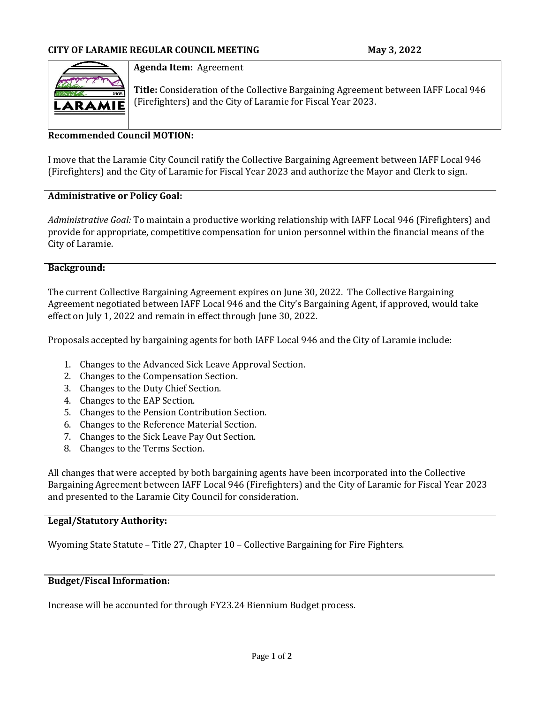

#### **Agenda Item:** Agreement

**Title:** Consideration of the Collective Bargaining Agreement between IAFF Local 946 (Firefighters) and the City of Laramie for Fiscal Year 2023.

## **Recommended Council MOTION:**

I move that the Laramie City Council ratify the Collective Bargaining Agreement between IAFF Local 946 (Firefighters) and the City of Laramie for Fiscal Year 2023 and authorize the Mayor and Clerk to sign.

#### **Administrative or Policy Goal:**

*Administrative Goal:* To maintain a productive working relationship with IAFF Local 946 (Firefighters) and provide for appropriate, competitive compensation for union personnel within the financial means of the City of Laramie.

## **Background:**

The current Collective Bargaining Agreement expires on June 30, 2022. The Collective Bargaining Agreement negotiated between IAFF Local 946 and the City's Bargaining Agent, if approved, would take effect on July 1, 2022 and remain in effect through June 30, 2022.

Proposals accepted by bargaining agents for both IAFF Local 946 and the City of Laramie include:

- 1. Changes to the Advanced Sick Leave Approval Section.
- 2. Changes to the Compensation Section.
- 3. Changes to the Duty Chief Section.
- 4. Changes to the EAP Section.
- 5. Changes to the Pension Contribution Section.
- 6. Changes to the Reference Material Section.
- 7. Changes to the Sick Leave Pay Out Section.
- 8. Changes to the Terms Section.

All changes that were accepted by both bargaining agents have been incorporated into the Collective Bargaining Agreement between IAFF Local 946 (Firefighters) and the City of Laramie for Fiscal Year 2023 and presented to the Laramie City Council for consideration.

#### **Legal/Statutory Authority:**

Wyoming State Statute – Title 27, Chapter 10 – Collective Bargaining for Fire Fighters.

#### **Budget/Fiscal Information:**

Increase will be accounted for through FY23.24 Biennium Budget process.